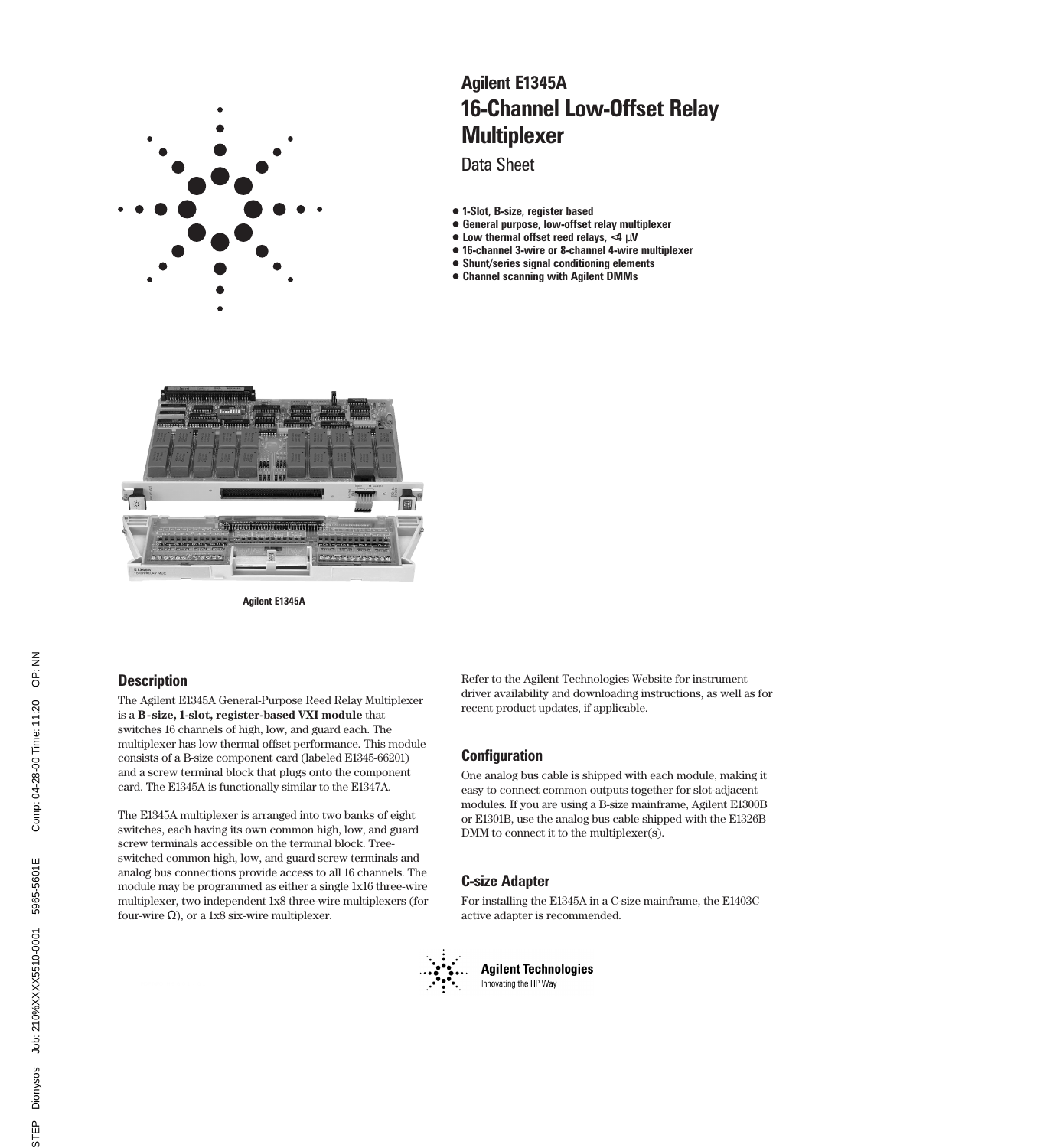

# 16-Channel Low-Offset Relay **Multiplexer** Agilent E1345A

Data Sheet

- 1-Slot, B-size, register based
- General purpose, low-offset relay multiplexer
- $\bullet$  Low thermal offset reed relays, <4  $\mu$ V
- 16-channel 3-wire or 8-channel 4-wire multiplexer
- Shunt/series signal conditioning elements
- Channel scanning with Agilent DMMs



Agilent E1345A

# **Description**

The Agilent E1345A General-Purpose Reed Relay Multiplexer is a **B-size, 1-slot, register-based VXI module** that switches 16 channels of high, low, and guard each. The multiplexer has low thermal offset performance. This module consists of a B-size component card (labeled E1345-66201) and a screw terminal block that plugs onto the component card. The E1345A is functionally similar to the E1347A.

The E1345A multiplexer is arranged into two banks of eight switches, each having its own common high, low, and guard screw terminals accessible on the terminal block. Treeswitched common high, low, and guard screw terminals and analog bus connections provide access to all 16 channels. The module may be programmed as either a single 1x16 three-wire multiplexer, two independent 1x8 three-wire multiplexers (for four-wire  $\Omega$ ), or a 1x8 six-wire multiplexer.

Refer to the Agilent Technologies Website for instrument driver availability and downloading instructions, as well as for recent product updates, if applicable.

# **Configuration**

One analog bus cable is shipped with each module, making it easy to connect common outputs together for slot-adjacent modules. If you are using a B-size mainframe, Agilent E1300B or E1301B, use the analog bus cable shipped with the E1326B DMM to connect it to the multiplexer(s).

# C-size Adapter

For installing the E1345A in a C-size mainframe, the E1403C active adapter is recommended.



**Agilent Technologies** Innovating the HP Way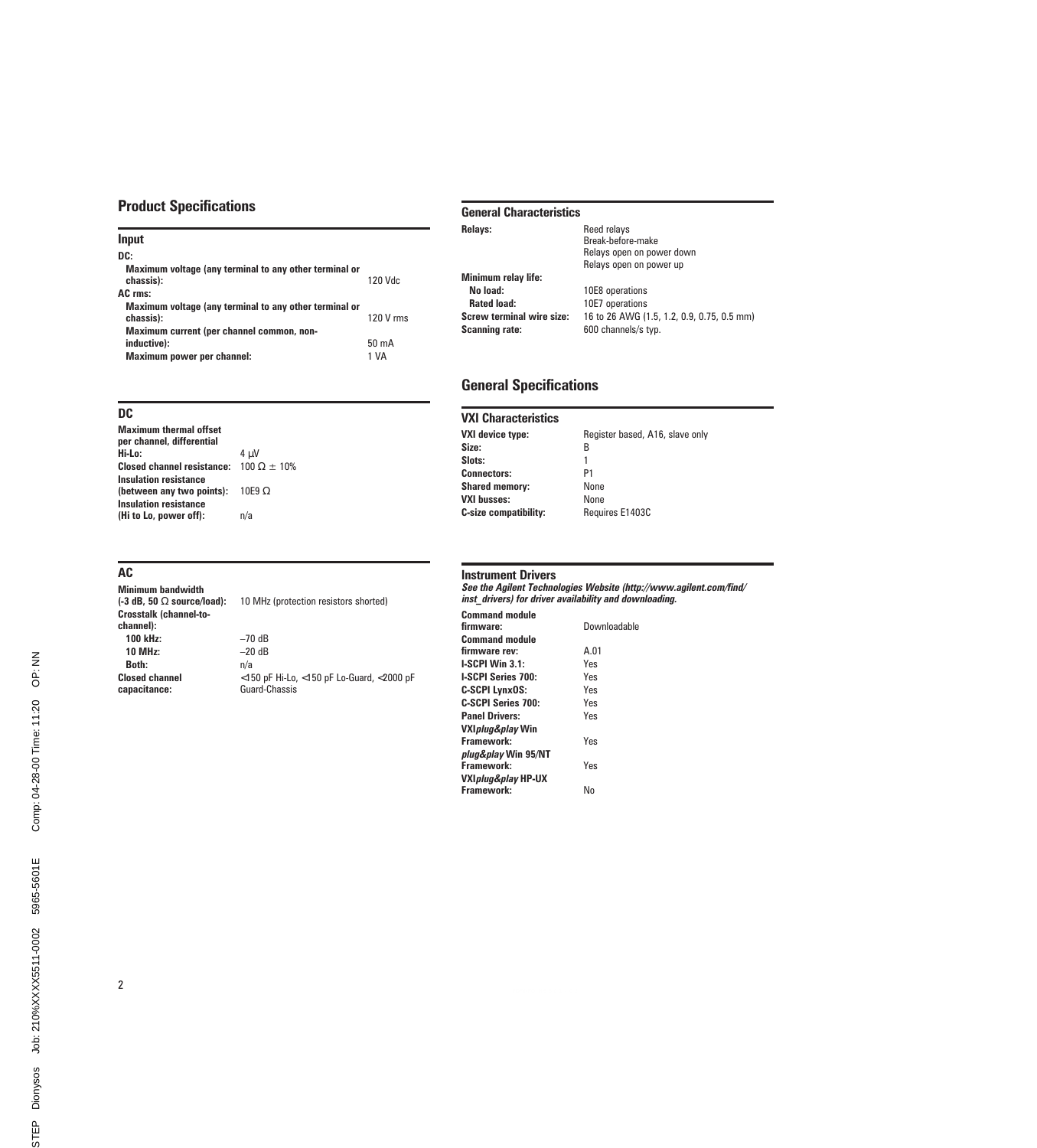# Product Specifications

| 120 Vdc                 |
|-------------------------|
|                         |
| 120 V rms               |
| $50 \text{ mA}$<br>1 VA |
|                         |

## DC

| <b>Maximum thermal offset</b><br>per channel, differential |               |
|------------------------------------------------------------|---------------|
| Hi-Lo:                                                     | 4 uV          |
| Closed channel resistance: $100 \Omega \pm 10\%$           |               |
| Insulation resistance                                      |               |
| (between any two points):                                  | 10E9 $\Omega$ |
| <b>Insulation resistance</b>                               |               |
| (Hi to Lo, power off):                                     | n/a           |
|                                                            |               |

## AC

Minimum bandwidth<br>(-3 dB, 50  $\Omega$  source/load): Crosstalk (channel-tochannel): 100 kHz:  $-70$  dB<br>10 MHz:  $-20$  dB **10 MHz:**  $-20$ <br>**Both:**  $n/a$ Both: Closed channel capacitance:

10 MHz (protection resistors shorted)

<150 pF Hi-Lo, <150 pF Lo-Guard, <2000 pF Guard-Chassis

### General Characteristics

| Relays:                                            | Reed relays<br>Break-before-make<br>Relays open on power down<br>Relays open on power up |  |
|----------------------------------------------------|------------------------------------------------------------------------------------------|--|
| <b>Minimum relay life:</b>                         |                                                                                          |  |
| No load:                                           | 10E8 operations                                                                          |  |
| <b>Rated load:</b>                                 | 10E7 operations                                                                          |  |
| Screw terminal wire size:<br><b>Scanning rate:</b> | 16 to 26 AWG (1.5, 1.2, 0.9, 0.75, 0.5 mm)<br>600 channels/s typ.                        |  |

# General Specifications

### VXI Characteristics

| Register based, A16, slave only |
|---------------------------------|
| в                               |
|                                 |
| P1                              |
| None                            |
| None                            |
| Requires E1403C                 |
|                                 |

## Instrument Drivers

See the Agilent Technologies Website (http://www.agilent.com/find/ inst\_drivers) for driver availability and downloading.

| <b>Command module</b>          |              |
|--------------------------------|--------------|
| firmware:                      | Downloadable |
| <b>Command module</b>          |              |
| firmware rev:                  | A.01         |
| $LSCPI$ Win $3.1$ :            | Yes          |
| <b>I-SCPI Series 700:</b>      | Yes          |
| <b>C-SCPI LynxOS:</b>          | Yes          |
| C-SCPI Series 700:             | Yes          |
| <b>Panel Drivers:</b>          | Yes          |
| VXI <i>plug&amp;play</i> Win   |              |
| Framework:                     | <b>Yes</b>   |
| plug&play Win 95/NT            |              |
| Framework:                     | Yes          |
| VXI <i>plug&amp;play</i> HP-UX |              |
| Framework:                     | N٥           |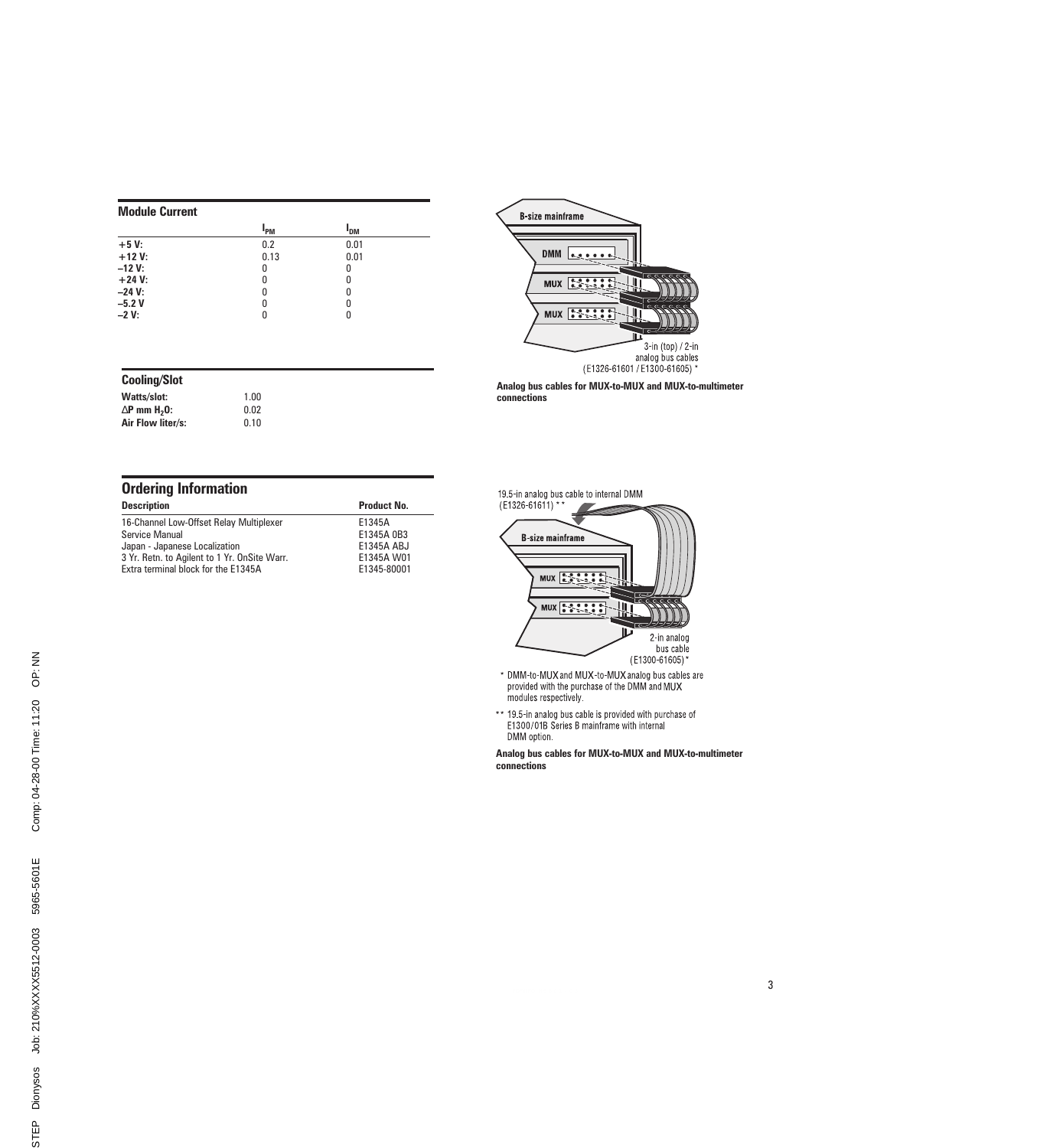## Module Current

|          | <b>I<sub>PM</sub></b> | I <sub>DM</sub> |  |  |
|----------|-----------------------|-----------------|--|--|
| $+5V$    | 0.2                   | 0.01            |  |  |
| $+12V$ : | 0.13                  | 0.01            |  |  |
| $-12V$ : | 0                     | 0               |  |  |
| $+24 V:$ | 0                     | 0               |  |  |
| $-24$ V: | 0                     | 0               |  |  |
| $-5.2V$  | 0                     | 0               |  |  |
| $-2V:$   | 0                     | 0               |  |  |
|          |                       |                 |  |  |

## Cooling/Slot

Watts/slot: 1.00  $\Delta$ P mm H<sub>2</sub>O: 0.02<br>Air Flow liter/s: 0.10 Air Flow liter/s:

| <b>Ordering Information</b>                  |                    |  |  |
|----------------------------------------------|--------------------|--|--|
| <b>Description</b>                           | <b>Product No.</b> |  |  |
| 16-Channel Low-Offset Relay Multiplexer      | E1345A             |  |  |
| Service Manual                               | E1345A 0B3         |  |  |
| Japan - Japanese Localization                | E1345A ABJ         |  |  |
| 3 Yr. Retn. to Agilent to 1 Yr. OnSite Warr. | E1345A W01         |  |  |
| Extra terminal block for the E1345A          | E1345-80001        |  |  |



Analog bus cables for MUX-to-MUX and MUX-to-multimeter connections

#### 19.5-in analog bus cable to internal DMM



- \* DMM-to-MUX and MUX-to-MUX analog bus cables are<br>provided with the purchase of the DMM and MUX modules respectively.
- \*\* 19.5-in analog bus cable is provided with purchase of<br>E1300/01B Series B mainframe with internal DMM option.

Analog bus cables for MUX-to-MUX and MUX-to-multimeter connections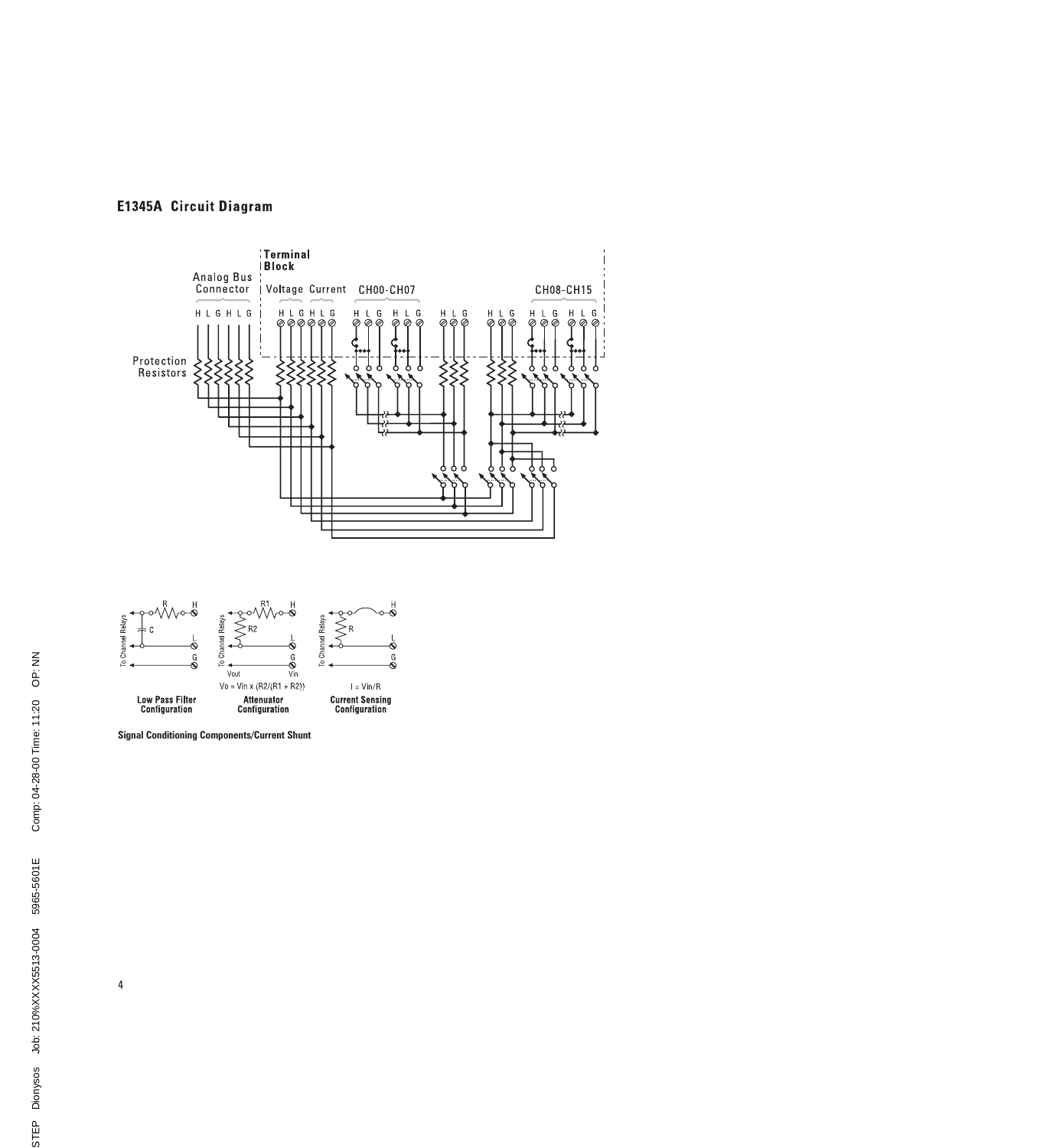# **E1345A Circuit Diagram**





Signal Conditioning Components/Current Shunt